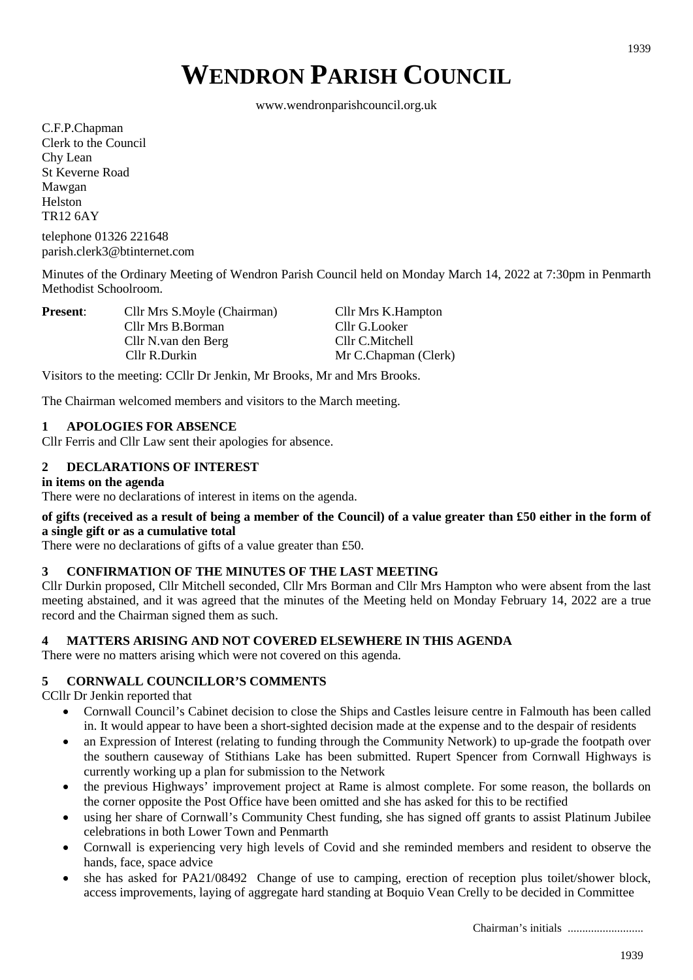# **WENDRON PARISH COUNCIL**

www.wendronparishcouncil.org.uk

C.F.P.Chapman Clerk to the Council Chy Lean St Keverne Road Mawgan Helston TR12 6AY

telephone 01326 221648 parish.clerk3@btinternet.com

Minutes of the Ordinary Meeting of Wendron Parish Council held on Monday March 14, 2022 at 7:30pm in Penmarth Methodist Schoolroom.

| <b>Present:</b> | Cllr Mrs S.Moyle (Chairman) | Cllr Mrs K.Hampton   |  |  |  |
|-----------------|-----------------------------|----------------------|--|--|--|
|                 | Cllr Mrs B.Borman           | Cllr G.Looker        |  |  |  |
|                 | Cllr N.van den Berg         | Cllr C.Mitchell      |  |  |  |
|                 | Cllr R.Durkin               | Mr C.Chapman (Clerk) |  |  |  |

Visitors to the meeting: CCllr Dr Jenkin, Mr Brooks, Mr and Mrs Brooks.

The Chairman welcomed members and visitors to the March meeting.

## **1 APOLOGIES FOR ABSENCE**

Cllr Ferris and Cllr Law sent their apologies for absence.

# **2 DECLARATIONS OF INTEREST**

## **in items on the agenda**

There were no declarations of interest in items on the agenda.

## **of gifts (received as a result of being a member of the Council) of a value greater than £50 either in the form of a single gift or as a cumulative total**

There were no declarations of gifts of a value greater than £50.

# **3 CONFIRMATION OF THE MINUTES OF THE LAST MEETING**

Cllr Durkin proposed, Cllr Mitchell seconded, Cllr Mrs Borman and Cllr Mrs Hampton who were absent from the last meeting abstained, and it was agreed that the minutes of the Meeting held on Monday February 14, 2022 are a true record and the Chairman signed them as such.

## **4 MATTERS ARISING AND NOT COVERED ELSEWHERE IN THIS AGENDA**

There were no matters arising which were not covered on this agenda.

## **5 CORNWALL COUNCILLOR'S COMMENTS**

CCllr Dr Jenkin reported that

- Cornwall Council's Cabinet decision to close the Ships and Castles leisure centre in Falmouth has been called in. It would appear to have been a short-sighted decision made at the expense and to the despair of residents
- an Expression of Interest (relating to funding through the Community Network) to up-grade the footpath over the southern causeway of Stithians Lake has been submitted. Rupert Spencer from Cornwall Highways is currently working up a plan for submission to the Network
- the previous Highways' improvement project at Rame is almost complete. For some reason, the bollards on the corner opposite the Post Office have been omitted and she has asked for this to be rectified
- using her share of Cornwall's Community Chest funding, she has signed off grants to assist Platinum Jubilee celebrations in both Lower Town and Penmarth
- Cornwall is experiencing very high levels of Covid and she reminded members and resident to observe the hands, face, space advice
- she has asked for PA21/08492 Change of use to camping, erection of reception plus toilet/shower block, access improvements, laying of aggregate hard standing at Boquio Vean Crelly to be decided in Committee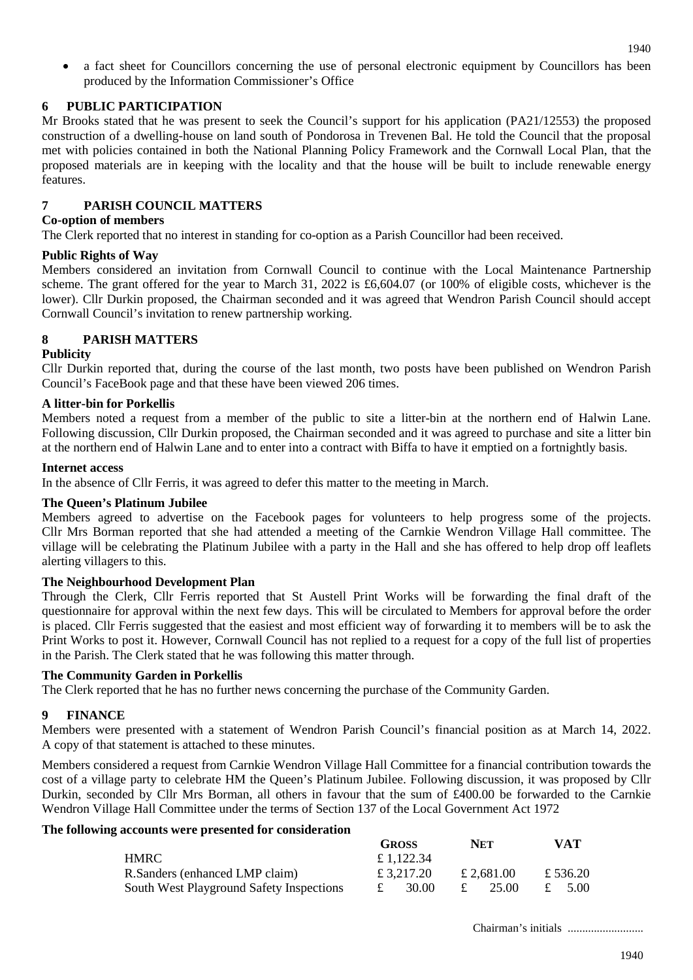• a fact sheet for Councillors concerning the use of personal electronic equipment by Councillors has been produced by the Information Commissioner's Office

# **6 PUBLIC PARTICIPATION**

Mr Brooks stated that he was present to seek the Council's support for his application (PA21/12553) the proposed construction of a dwelling-house on land south of Pondorosa in Trevenen Bal. He told the Council that the proposal met with policies contained in both the National Planning Policy Framework and the Cornwall Local Plan, that the proposed materials are in keeping with the locality and that the house will be built to include renewable energy features.

# **7 PARISH COUNCIL MATTERS**

## **Co-option of members**

The Clerk reported that no interest in standing for co-option as a Parish Councillor had been received.

# **Public Rights of Way**

Members considered an invitation from Cornwall Council to continue with the Local Maintenance Partnership scheme. The grant offered for the year to March 31, 2022 is £6,604.07 (or 100% of eligible costs, whichever is the lower). Cllr Durkin proposed, the Chairman seconded and it was agreed that Wendron Parish Council should accept Cornwall Council's invitation to renew partnership working.

# **8 PARISH MATTERS**

# **Publicity**

Cllr Durkin reported that, during the course of the last month, two posts have been published on Wendron Parish Council's FaceBook page and that these have been viewed 206 times.

## **A litter-bin for Porkellis**

Members noted a request from a member of the public to site a litter-bin at the northern end of Halwin Lane. Following discussion, Cllr Durkin proposed, the Chairman seconded and it was agreed to purchase and site a litter bin at the northern end of Halwin Lane and to enter into a contract with Biffa to have it emptied on a fortnightly basis.

## **Internet access**

In the absence of Cllr Ferris, it was agreed to defer this matter to the meeting in March.

## **The Queen's Platinum Jubilee**

Members agreed to advertise on the Facebook pages for volunteers to help progress some of the projects. Cllr Mrs Borman reported that she had attended a meeting of the Carnkie Wendron Village Hall committee. The village will be celebrating the Platinum Jubilee with a party in the Hall and she has offered to help drop off leaflets alerting villagers to this.

## **The Neighbourhood Development Plan**

Through the Clerk, Cllr Ferris reported that St Austell Print Works will be forwarding the final draft of the questionnaire for approval within the next few days. This will be circulated to Members for approval before the order is placed. Cllr Ferris suggested that the easiest and most efficient way of forwarding it to members will be to ask the Print Works to post it. However, Cornwall Council has not replied to a request for a copy of the full list of properties in the Parish. The Clerk stated that he was following this matter through.

## **The Community Garden in Porkellis**

The Clerk reported that he has no further news concerning the purchase of the Community Garden.

# **9 FINANCE**

Members were presented with a statement of Wendron Parish Council's financial position as at March 14, 2022. A copy of that statement is attached to these minutes.

Members considered a request from Carnkie Wendron Village Hall Committee for a financial contribution towards the cost of a village party to celebrate HM the Queen's Platinum Jubilee. Following discussion, it was proposed by Cllr Durkin, seconded by Cllr Mrs Borman, all others in favour that the sum of £400.00 be forwarded to the Carnkie Wendron Village Hall Committee under the terms of Section 137 of the Local Government Act 1972

## **The following accounts were presented for consideration**

|                                          |   | <b>GROSS</b> |  | <b>NET</b> |  | <b>VAT</b> |  |
|------------------------------------------|---|--------------|--|------------|--|------------|--|
| HMRC.                                    |   | £ 1.122.34   |  |            |  |            |  |
| R. Sanders (enhanced LMP claim)          |   | £ 3.217.20   |  | £ 2.681.00 |  | £ 536.20   |  |
| South West Playground Safety Inspections | £ | 30.00        |  | 25.00      |  | £ 5.00     |  |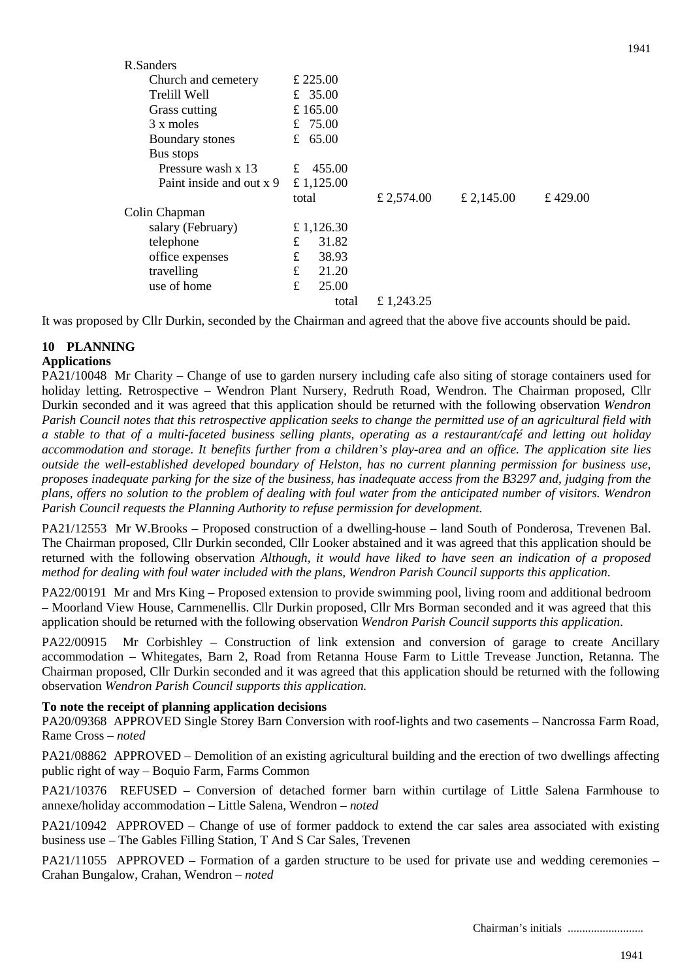| R.Sanders                |       |            |            |            |          |  |  |
|--------------------------|-------|------------|------------|------------|----------|--|--|
| Church and cemetery      |       | £ 225.00   |            |            |          |  |  |
| Trelill Well             |       | £ 35.00    |            |            |          |  |  |
| Grass cutting            |       | £ 165.00   |            |            |          |  |  |
| 3 x moles                |       | £ 75.00    |            |            |          |  |  |
| Boundary stones          |       | £ $65.00$  |            |            |          |  |  |
| Bus stops                |       |            |            |            |          |  |  |
| Pressure wash x 13       |       | £ 455.00   |            |            |          |  |  |
| Paint inside and out x 9 |       | £ 1,125.00 |            |            |          |  |  |
|                          | total |            | £ 2,574.00 | £ 2,145.00 | £ 429.00 |  |  |
| Colin Chapman            |       |            |            |            |          |  |  |
| salary (February)        |       | £ 1,126.30 |            |            |          |  |  |
| telephone                | £     | 31.82      |            |            |          |  |  |
| office expenses          |       | 38.93      |            |            |          |  |  |
| travelling               |       | 21.20      |            |            |          |  |  |
| use of home              | £     | 25.00      |            |            |          |  |  |
|                          |       | total      | £ 1,243.25 |            |          |  |  |

It was proposed by Cllr Durkin, seconded by the Chairman and agreed that the above five accounts should be paid.

## **10 PLANNING Applications**

PA21/10048 Mr Charity – Change of use to garden nursery including cafe also siting of storage containers used for holiday letting. Retrospective – Wendron Plant Nursery, Redruth Road, Wendron. The Chairman proposed, Cllr Durkin seconded and it was agreed that this application should be returned with the following observation *Wendron Parish Council notes that this retrospective application seeks to change the permitted use of an agricultural field with a stable to that of a multi-faceted business selling plants, operating as a restaurant/café and letting out holiday accommodation and storage. It benefits further from a children's play-area and an office. The application site lies outside the well-established developed boundary of Helston, has no current planning permission for business use, proposes inadequate parking for the size of the business, has inadequate access from the B3297 and, judging from the plans, offers no solution to the problem of dealing with foul water from the anticipated number of visitors. Wendron Parish Council requests the Planning Authority to refuse permission for development.*

PA21/12553 Mr W.Brooks – Proposed construction of a dwelling-house – land South of Ponderosa, Trevenen Bal. The Chairman proposed, Cllr Durkin seconded, Cllr Looker abstained and it was agreed that this application should be returned with the following observation *Although, it would have liked to have seen an indication of a proposed method for dealing with foul water included with the plans, Wendron Parish Council supports this application*.

PA22/00191 Mr and Mrs King – Proposed extension to provide swimming pool, living room and additional bedroom – Moorland View House, Carnmenellis. Cllr Durkin proposed, Cllr Mrs Borman seconded and it was agreed that this application should be returned with the following observation *Wendron Parish Council supports this application*.

PA22/00915 Mr Corbishley – Construction of link extension and conversion of garage to create Ancillary accommodation – Whitegates, Barn 2, Road from Retanna House Farm to Little Trevease Junction, Retanna. The Chairman proposed, Cllr Durkin seconded and it was agreed that this application should be returned with the following observation *Wendron Parish Council supports this application.*

## **To note the receipt of planning application decisions**

PA20/09368 APPROVED Single Storey Barn Conversion with roof-lights and two casements – Nancrossa Farm Road, Rame Cross – *noted*

PA21/08862 APPROVED – Demolition of an existing agricultural building and the erection of two dwellings affecting public right of way – Boquio Farm, Farms Common

PA21/10376 REFUSED – Conversion of detached former barn within curtilage of Little Salena Farmhouse to annexe/holiday accommodation – Little Salena, Wendron – *noted*

PA21/10942 APPROVED – Change of use of former paddock to extend the car sales area associated with existing business use – The Gables Filling Station, T And S Car Sales, Trevenen

PA21/11055 APPROVED – Formation of a garden structure to be used for private use and wedding ceremonies – Crahan Bungalow, Crahan, Wendron – *noted*